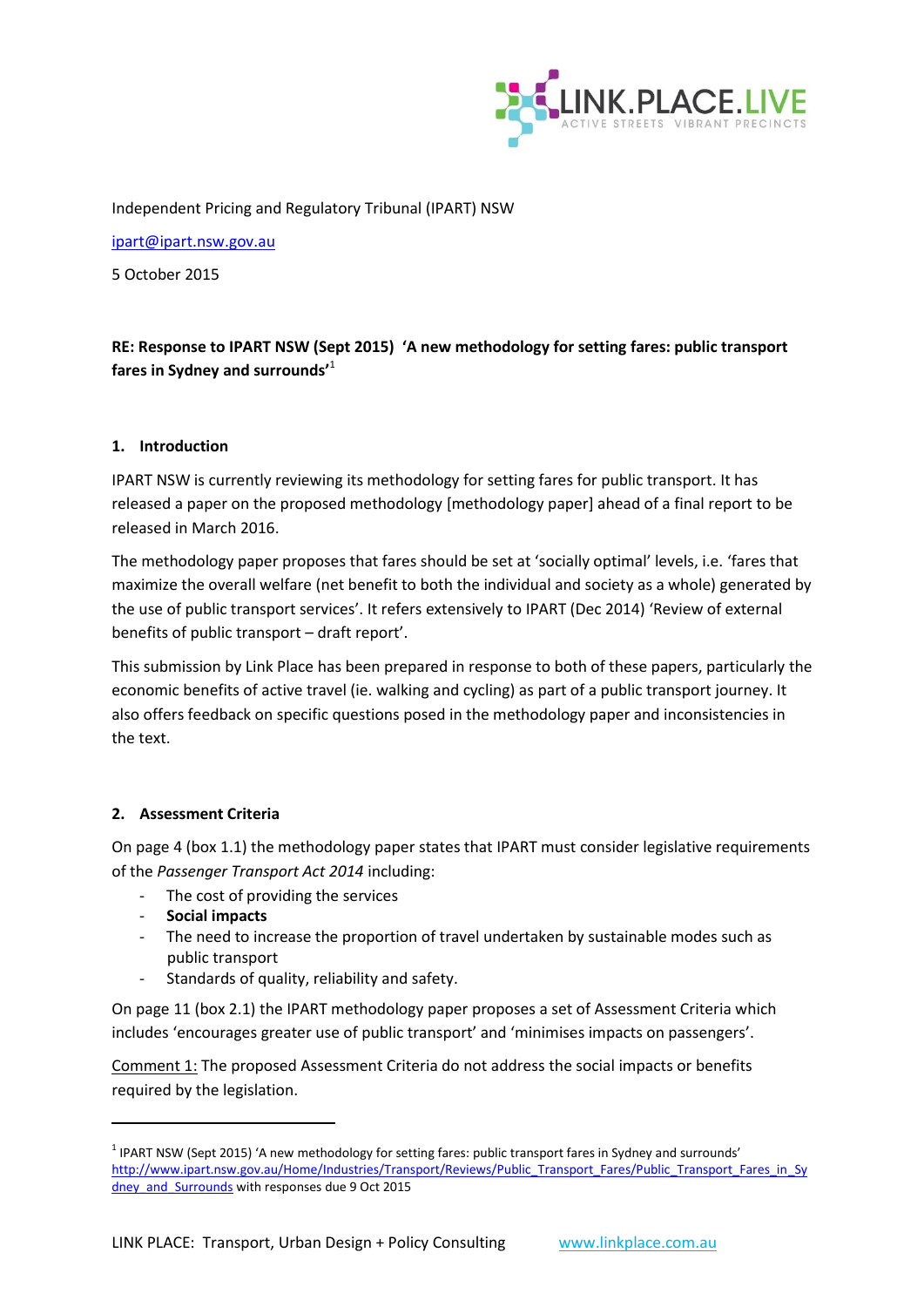

Independent Pricing and Regulatory Tribunal (IPART) NSW

[ipart@ipart.nsw.gov.au](mailto:ipart@ipart.nsw.gov.au)

5 October 2015

# **RE: Response to IPART NSW (Sept 2015) 'A new methodology for setting fares: public transport fares in Sydney and surrounds'**<sup>1</sup>

#### **1. Introduction**

IPART NSW is currently reviewing its methodology for setting fares for public transport. It has released a paper on the proposed methodology [methodology paper] ahead of a final report to be released in March 2016.

The methodology paper proposes that fares should be set at 'socially optimal' levels, i.e. 'fares that maximize the overall welfare (net benefit to both the individual and society as a whole) generated by the use of public transport services'. It refers extensively to IPART (Dec 2014) 'Review of external benefits of public transport – draft report'.

This submission by Link Place has been prepared in response to both of these papers, particularly the economic benefits of active travel (ie. walking and cycling) as part of a public transport journey. It also offers feedback on specific questions posed in the methodology paper and inconsistencies in the text.

#### **2. Assessment Criteria**

On page 4 (box 1.1) the methodology paper states that IPART must consider legislative requirements of the *Passenger Transport Act 2014* including:

- The cost of providing the services
- **Social impacts**

**.** 

- The need to increase the proportion of travel undertaken by sustainable modes such as public transport
- Standards of quality, reliability and safety.

On page 11 (box 2.1) the IPART methodology paper proposes a set of Assessment Criteria which includes 'encourages greater use of public transport' and 'minimises impacts on passengers'.

Comment 1: The proposed Assessment Criteria do not address the social impacts or benefits required by the legislation.

 $1$  IPART NSW (Sept 2015) 'A new methodology for setting fares: public transport fares in Sydney and surrounds' [http://www.ipart.nsw.gov.au/Home/Industries/Transport/Reviews/Public\\_Transport\\_Fares/Public\\_Transport\\_Fares\\_in\\_Sy](http://www.ipart.nsw.gov.au/Home/Industries/Transport/Reviews/Public_Transport_Fares/Public_Transport_Fares_in_Sydney_and_Surrounds) dney and Surrounds with responses due 9 Oct 2015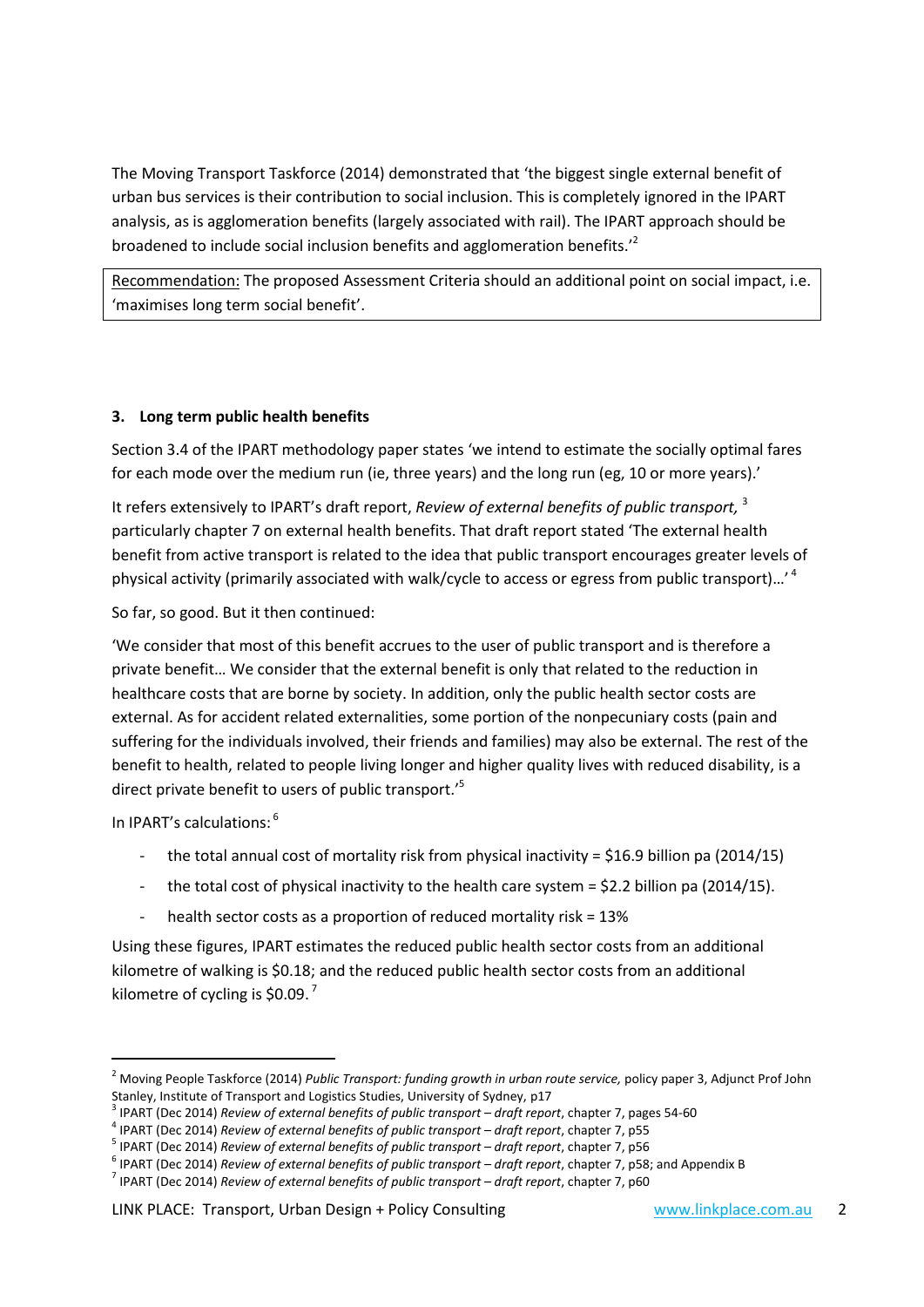The Moving Transport Taskforce (2014) demonstrated that 'the biggest single external benefit of urban bus services is their contribution to social inclusion. This is completely ignored in the IPART analysis, as is agglomeration benefits (largely associated with rail). The IPART approach should be broadened to include social inclusion benefits and agglomeration benefits.<sup>12</sup>

Recommendation: The proposed Assessment Criteria should an additional point on social impact, i.e. 'maximises long term social benefit'.

#### **3. Long term public health benefits**

Section 3.4 of the IPART methodology paper states 'we intend to estimate the socially optimal fares for each mode over the medium run (ie, three years) and the long run (eg, 10 or more years).'

It refers extensively to IPART's draft report, *Review of external benefits of public transport,* 3 particularly chapter 7 on external health benefits. That draft report stated 'The external health benefit from active transport is related to the idea that public transport encourages greater levels of physical activity (primarily associated with walk/cycle to access or egress from public transport)...'<sup>4</sup>

So far, so good. But it then continued:

'We consider that most of this benefit accrues to the user of public transport and is therefore a private benefit… We consider that the external benefit is only that related to the reduction in healthcare costs that are borne by society. In addition, only the public health sector costs are external. As for accident related externalities, some portion of the nonpecuniary costs (pain and suffering for the individuals involved, their friends and families) may also be external. The rest of the benefit to health, related to people living longer and higher quality lives with reduced disability, is a direct private benefit to users of public transport.<sup>'5</sup>

In IPART's calculations: 6

1

- the total annual cost of mortality risk from physical inactivity = \$16.9 billion pa (2014/15)
- the total cost of physical inactivity to the health care system =  $$2.2$  billion pa (2014/15).
- health sector costs as a proportion of reduced mortality risk = 13%

Using these figures, IPART estimates the reduced public health sector costs from an additional kilometre of walking is \$0.18; and the reduced public health sector costs from an additional kilometre of cycling is \$0.09.<sup>7</sup>

<sup>&</sup>lt;sup>2</sup> Moving People Taskforce (2014) *Public Transport: funding growth in urban route service*, policy paper 3, Adjunct Prof John Stanley, Institute of Transport and Logistics Studies, University of Sydney, p17

<sup>&</sup>lt;sup>3</sup> IPART (Dec 2014) *Review of external benefits of public transport – draft report, chapter 7, pages 54-60* 

<sup>&</sup>lt;sup>4</sup> IPART (Dec 2014) *Review of external benefits of public transport – draft report, chapter 7, p55* 

<sup>&</sup>lt;sup>5</sup> IPART (Dec 2014) *Review of external benefits of public transport – draft report, chapter 7, p56* 

<sup>&</sup>lt;sup>6</sup> IPART (Dec 2014) *Review of external benefits of public transport – draft report, chapter 7, p58; and Appendix B* 

<sup>&</sup>lt;sup>7</sup> IPART (Dec 2014) *Review of external benefits of public transport – draft report, chapter 7, p60*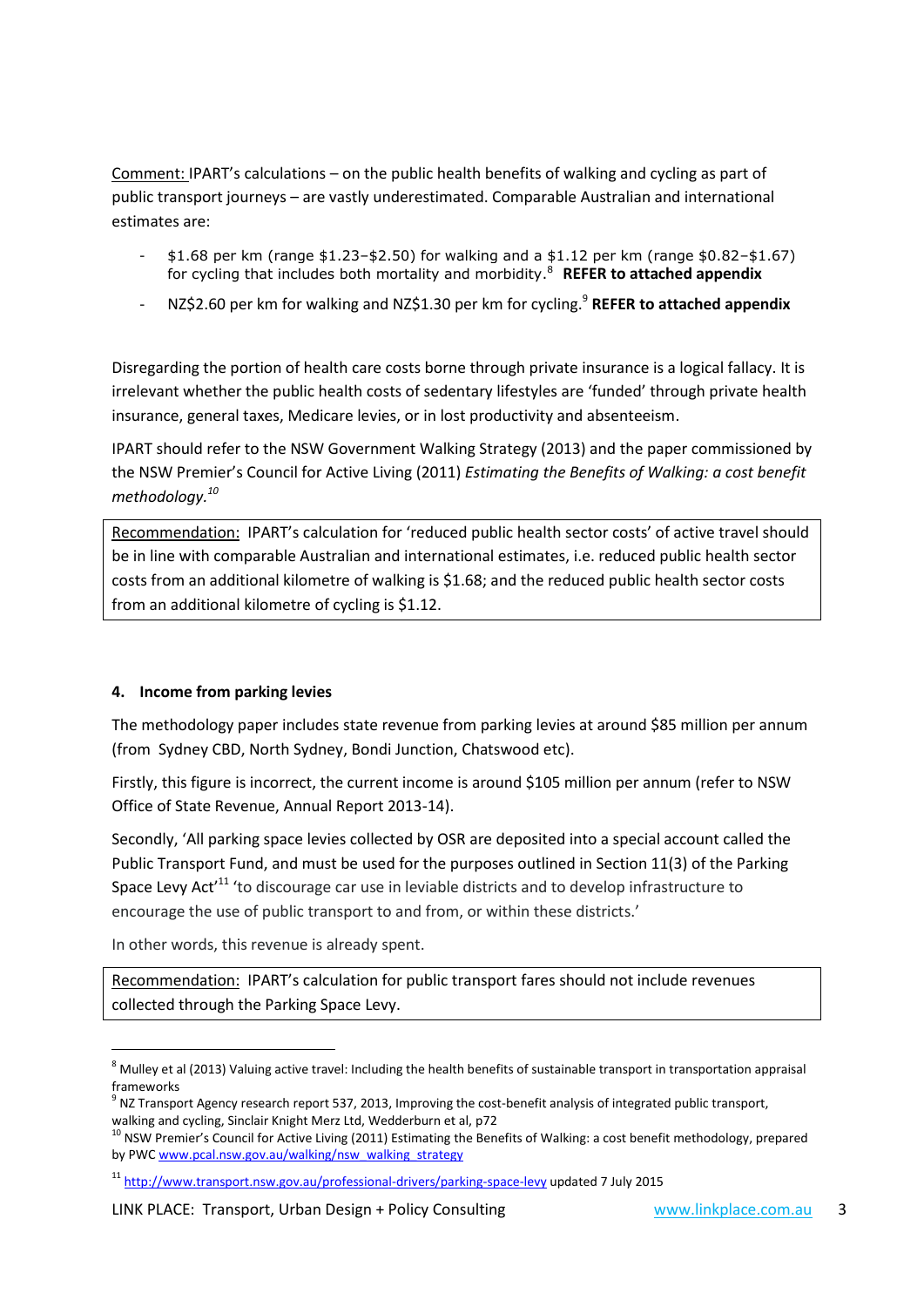Comment: IPART's calculations – on the public health benefits of walking and cycling as part of public transport journeys – are vastly underestimated. Comparable Australian and international estimates are:

- $$1.68$  per km (range  $$1.23 $2.50$ ) for walking and a  $$1.12$  per km (range  $$0.82 $1.67$ ) for cycling that includes both mortality and morbidity. <sup>8</sup> **REFER to attached appendix**
- NZ\$2.60 per km for walking and NZ\$1.30 per km for cycling. 9 **REFER to attached appendix**

Disregarding the portion of health care costs borne through private insurance is a logical fallacy. It is irrelevant whether the public health costs of sedentary lifestyles are 'funded' through private health insurance, general taxes, Medicare levies, or in lost productivity and absenteeism.

IPART should refer to the NSW Government Walking Strategy (2013) and the paper commissioned by the NSW Premier's Council for Active Living (2011) *Estimating the Benefits of Walking: a cost benefit methodology. 10*

Recommendation: IPART's calculation for 'reduced public health sector costs' of active travel should be in line with comparable Australian and international estimates, i.e. reduced public health sector costs from an additional kilometre of walking is \$1.68; and the reduced public health sector costs from an additional kilometre of cycling is \$1.12.

#### **4. Income from parking levies**

The methodology paper includes state revenue from parking levies at around \$85 million per annum (from Sydney CBD, North Sydney, Bondi Junction, Chatswood etc).

Firstly, this figure is incorrect, the current income is around \$105 million per annum (refer to NSW Office of State Revenue, Annual Report 2013-14).

Secondly, 'All parking space levies collected by OSR are deposited into a special account called the Public Transport Fund, and must be used for the purposes outlined in Section 11(3) of the Parking Space Levy Act<sup>11</sup> 'to discourage car use in leviable districts and to develop infrastructure to encourage the use of public transport to and from, or within these districts.'

In other words, this revenue is already spent.

1

Recommendation: IPART's calculation for public transport fares should not include revenues collected through the Parking Space Levy.

LINK PLACE: Transport, Urban Design + Policy Consulting [www.linkplace.com.au](http://www.linkplace.com.au/) 3

 $8$  Mulley et al (2013) Valuing active travel: Including the health benefits of sustainable transport in transportation appraisal frameworks

<sup>&</sup>lt;sup>9</sup> NZ Transport Agency research report 537, 2013, Improving the cost-benefit analysis of integrated public transport, walking and cycling, Sinclair Knight Merz Ltd, Wedderburn et al, p72

<sup>&</sup>lt;sup>10</sup> NSW Premier's Council for Active Living (2011) Estimating the Benefits of Walking: a cost benefit methodology, prepared by PWC [www.pcal.nsw.gov.au/walking/nsw\\_walking\\_strategy](http://www.pcal.nsw.gov.au/walking/nsw_walking_strategy)

<sup>11</sup> <http://www.transport.nsw.gov.au/professional-drivers/parking-space-levy> updated 7 July 2015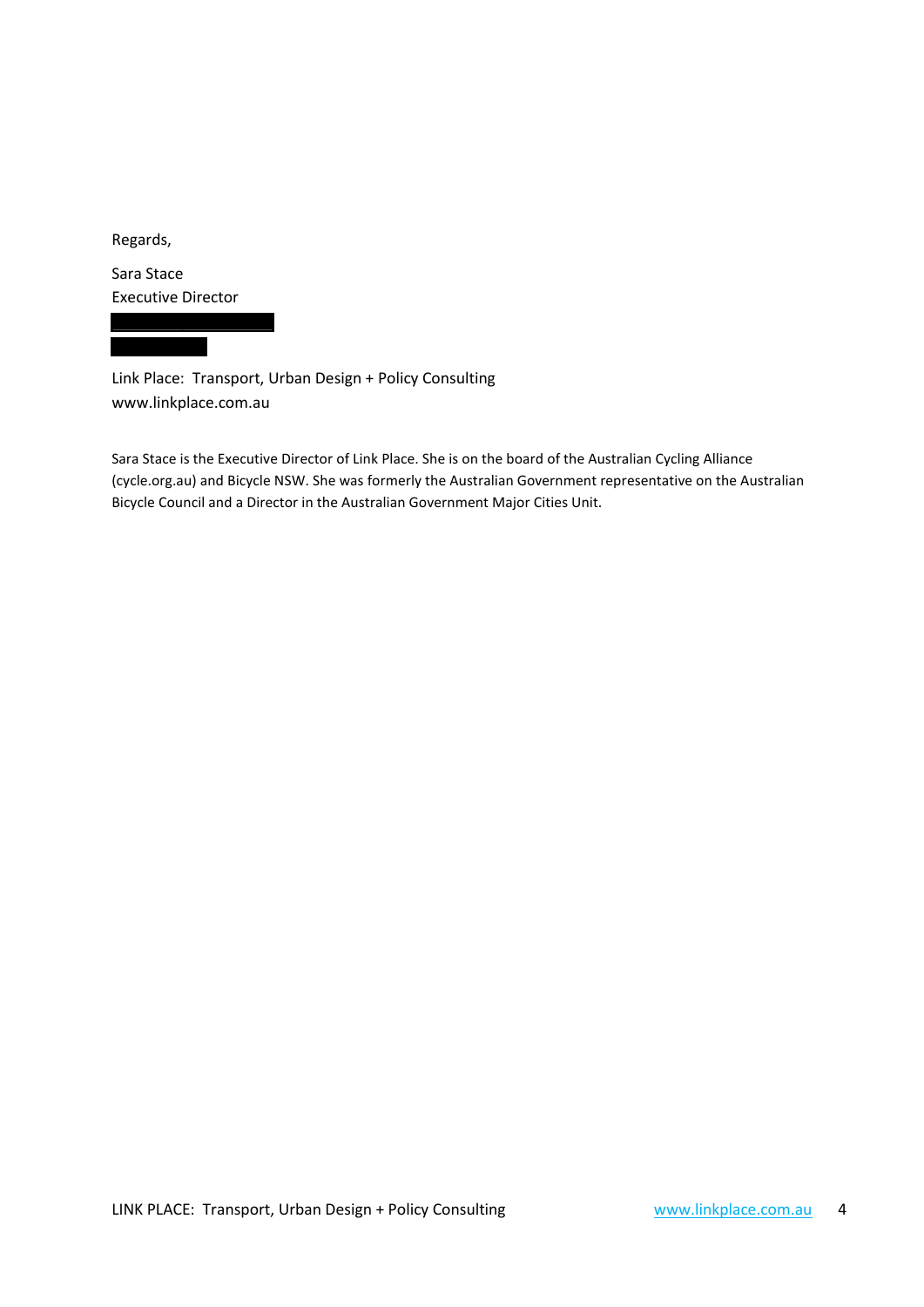Regards,

Sara Stace Executive Director

Link Place: Transport, Urban Design + Policy Consulting [www.linkplace.com.au](http://www.linkplace.com.au/)

Sara Stace is the Executive Director of Link Place. She is on the board of the Australian Cycling Alliance (cycle.org.au) and Bicycle NSW. She was formerly the Australian Government representative on the Australian Bicycle Council and a Director in the Australian Government Major Cities Unit.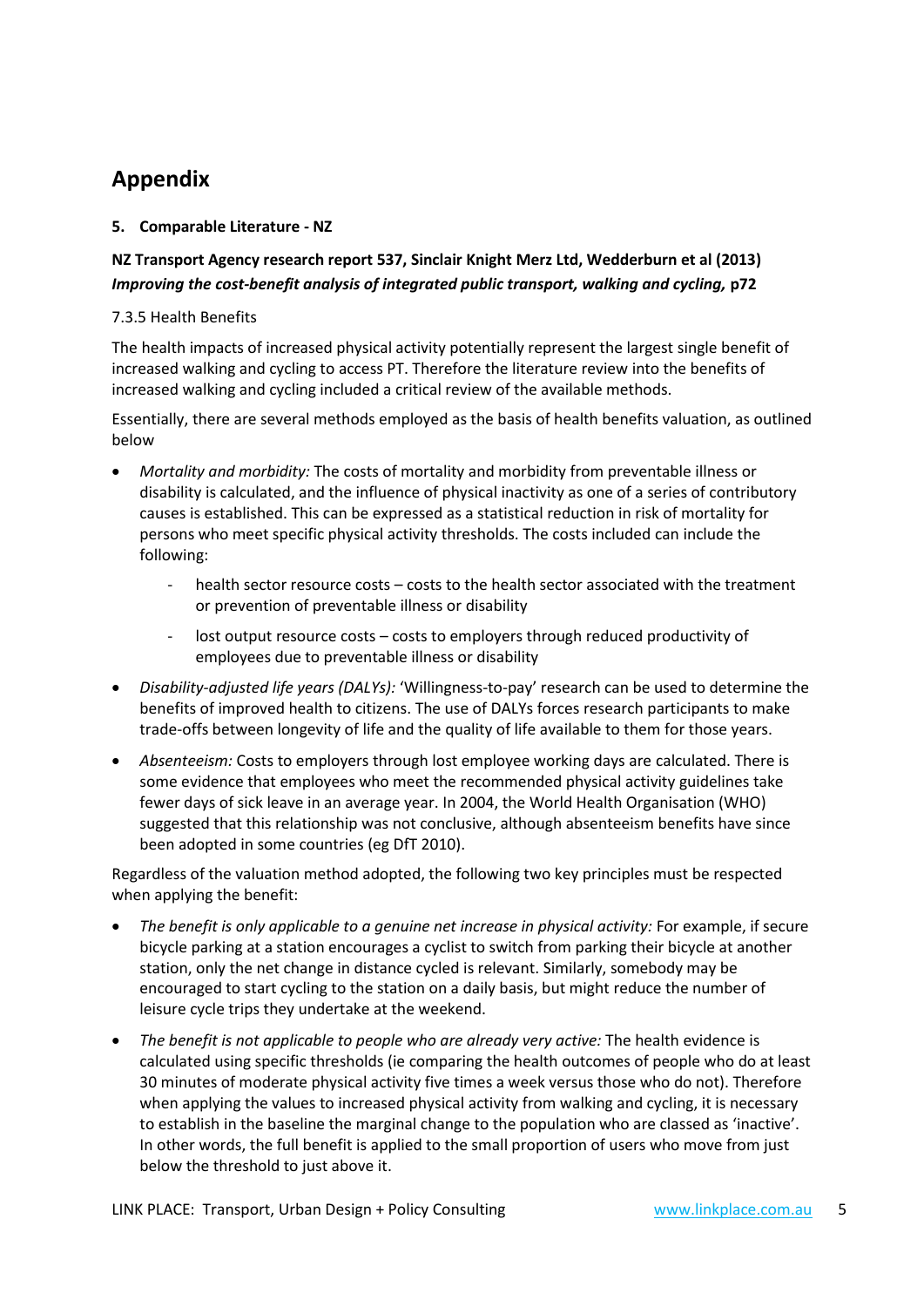# **Appendix**

### **5. Comparable Literature - NZ**

## **NZ Transport Agency research report 537, Sinclair Knight Merz Ltd, Wedderburn et al (2013)**  *Improving the cost-benefit analysis of integrated public transport, walking and cycling,* **p72**

### 7.3.5 Health Benefits

The health impacts of increased physical activity potentially represent the largest single benefit of increased walking and cycling to access PT. Therefore the literature review into the benefits of increased walking and cycling included a critical review of the available methods.

Essentially, there are several methods employed as the basis of health benefits valuation, as outlined below

- *Mortality and morbidity:* The costs of mortality and morbidity from preventable illness or disability is calculated, and the influence of physical inactivity as one of a series of contributory causes is established. This can be expressed as a statistical reduction in risk of mortality for persons who meet specific physical activity thresholds. The costs included can include the following:
	- health sector resource costs costs to the health sector associated with the treatment or prevention of preventable illness or disability
	- lost output resource costs costs to employers through reduced productivity of employees due to preventable illness or disability
- *Disability-adjusted life years (DALYs):* 'Willingness-to-pay' research can be used to determine the benefits of improved health to citizens. The use of DALYs forces research participants to make trade-offs between longevity of life and the quality of life available to them for those years.
- *Absenteeism:* Costs to employers through lost employee working days are calculated. There is some evidence that employees who meet the recommended physical activity guidelines take fewer days of sick leave in an average year. In 2004, the World Health Organisation (WHO) suggested that this relationship was not conclusive, although absenteeism benefits have since been adopted in some countries (eg DfT 2010).

Regardless of the valuation method adopted, the following two key principles must be respected when applying the benefit:

- *The benefit is only applicable to a genuine net increase in physical activity: For example, if secure* bicycle parking at a station encourages a cyclist to switch from parking their bicycle at another station, only the net change in distance cycled is relevant. Similarly, somebody may be encouraged to start cycling to the station on a daily basis, but might reduce the number of leisure cycle trips they undertake at the weekend.
- *The benefit is not applicable to people who are already very active:* The health evidence is calculated using specific thresholds (ie comparing the health outcomes of people who do at least 30 minutes of moderate physical activity five times a week versus those who do not). Therefore when applying the values to increased physical activity from walking and cycling, it is necessary to establish in the baseline the marginal change to the population who are classed as 'inactive'. In other words, the full benefit is applied to the small proportion of users who move from just below the threshold to just above it.